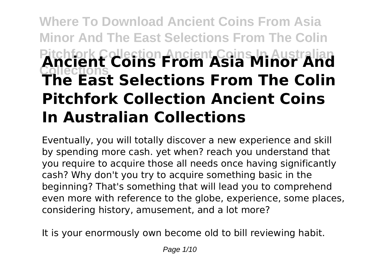# **Where To Download Ancient Coins From Asia Minor And The East Selections From The Colin Pitchfork Collection Ancient Coins In Australian Collections Ancient Coins From Asia Minor And The East Selections From The Colin Pitchfork Collection Ancient Coins In Australian Collections**

Eventually, you will totally discover a new experience and skill by spending more cash. yet when? reach you understand that you require to acquire those all needs once having significantly cash? Why don't you try to acquire something basic in the beginning? That's something that will lead you to comprehend even more with reference to the globe, experience, some places, considering history, amusement, and a lot more?

It is your enormously own become old to bill reviewing habit.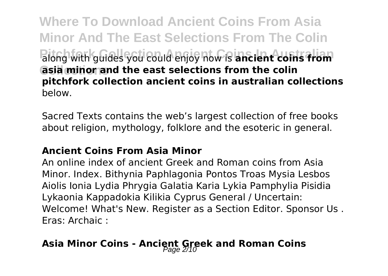**Where To Download Ancient Coins From Asia Minor And The East Selections From The Colin Palong with guides you could enjoy now is ancient coins from Collections asia minor and the east selections from the colin pitchfork collection ancient coins in australian collections** below.

Sacred Texts contains the web's largest collection of free books about religion, mythology, folklore and the esoteric in general.

#### **Ancient Coins From Asia Minor**

An online index of ancient Greek and Roman coins from Asia Minor. Index. Bithynia Paphlagonia Pontos Troas Mysia Lesbos Aiolis Ionia Lydia Phrygia Galatia Karia Lykia Pamphylia Pisidia Lykaonia Kappadokia Kilikia Cyprus General / Uncertain: Welcome! What's New. Register as a Section Editor. Sponsor Us . Eras: Archaic :

# Asia Minor Coins - Ancient Greek and Roman Coins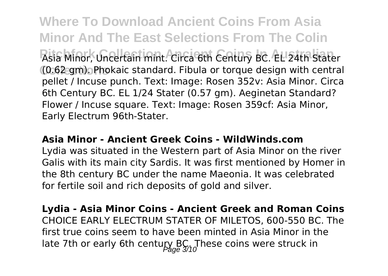**Where To Download Ancient Coins From Asia Minor And The East Selections From The Colin** Asia Minor, Uncertain mint. Circa 6th Century BC. EL 24th Stater **Collections** (0.62 gm). Phokaic standard. Fibula or torque design with central pellet / Incuse punch. Text: Image: Rosen 352v: Asia Minor. Circa 6th Century BC. EL 1/24 Stater (0.57 gm). Aeginetan Standard? Flower / Incuse square. Text: Image: Rosen 359cf: Asia Minor, Early Electrum 96th-Stater.

#### **Asia Minor - Ancient Greek Coins - WildWinds.com**

Lydia was situated in the Western part of Asia Minor on the river Galis with its main city Sardis. It was first mentioned by Homer in the 8th century BC under the name Maeonia. It was celebrated for fertile soil and rich deposits of gold and silver.

**Lydia - Asia Minor Coins - Ancient Greek and Roman Coins** CHOICE EARLY ELECTRUM STATER OF MILETOS, 600-550 BC. The first true coins seem to have been minted in Asia Minor in the late 7th or early 6th century BC. These coins were struck in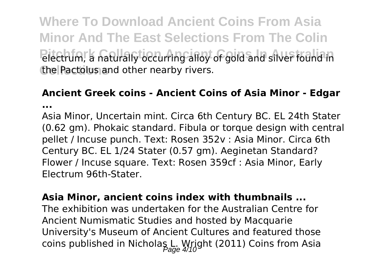**Where To Download Ancient Coins From Asia Minor And The East Selections From The Colin** Piectrum, a naturally occurring alloy of gold and silver found in the Pactolus and other nearby rivers.

#### **Ancient Greek coins - Ancient Coins of Asia Minor - Edgar ...**

Asia Minor, Uncertain mint. Circa 6th Century BC. EL 24th Stater (0.62 gm). Phokaic standard. Fibula or torque design with central pellet / Incuse punch. Text: Rosen 352v : Asia Minor. Circa 6th Century BC. EL 1/24 Stater (0.57 gm). Aeginetan Standard? Flower / Incuse square. Text: Rosen 359cf : Asia Minor, Early Electrum 96th-Stater.

**Asia Minor, ancient coins index with thumbnails ...** The exhibition was undertaken for the Australian Centre for Ancient Numismatic Studies and hosted by Macquarie University's Museum of Ancient Cultures and featured those coins published in Nicholas L. Wright (2011) Coins from Asia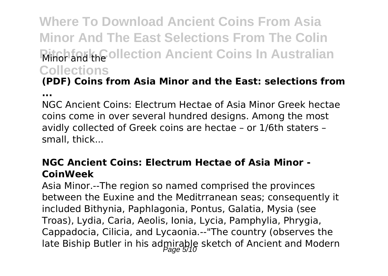# **Where To Download Ancient Coins From Asia Minor And The East Selections From The Colin Minor and the ollection Ancient Coins In Australian Collections**

## **(PDF) Coins from Asia Minor and the East: selections from**

**...**

NGC Ancient Coins: Electrum Hectae of Asia Minor Greek hectae coins come in over several hundred designs. Among the most avidly collected of Greek coins are hectae – or 1/6th staters – small, thick...

#### **NGC Ancient Coins: Electrum Hectae of Asia Minor - CoinWeek**

Asia Minor.--The region so named comprised the provinces between the Euxine and the Meditrranean seas; consequently it included Bithynia, Paphlagonia, Pontus, Galatia, Mysia (see Troas), Lydia, Caria, Aeolis, Ionia, Lycia, Pamphylia, Phrygia, Cappadocia, Cilicia, and Lycaonia.--"The country (observes the late Biship Butler in his admirable sketch of Ancient and Modern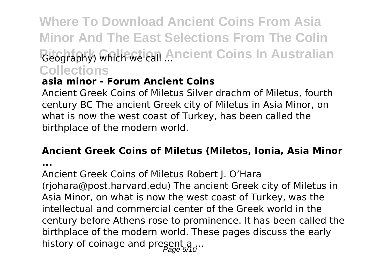**Where To Download Ancient Coins From Asia Minor And The East Selections From The Colin** *Reography) which we call Ancient Coins In Australian* **Collections**

#### **asia minor - Forum Ancient Coins**

Ancient Greek Coins of Miletus Silver drachm of Miletus, fourth century BC The ancient Greek city of Miletus in Asia Minor, on what is now the west coast of Turkey, has been called the birthplace of the modern world.

#### **Ancient Greek Coins of Miletus (Miletos, Ionia, Asia Minor**

**...**

Ancient Greek Coins of Miletus Robert J. O'Hara (rjohara@post.harvard.edu) The ancient Greek city of Miletus in Asia Minor, on what is now the west coast of Turkey, was the intellectual and commercial center of the Greek world in the century before Athens rose to prominence. It has been called the birthplace of the modern world. These pages discuss the early history of coinage and present a ...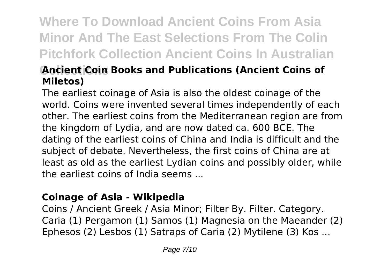# **Where To Download Ancient Coins From Asia Minor And The East Selections From The Colin Pitchfork Collection Ancient Coins In Australian**

### **Ancient Coin Books and Publications (Ancient Coins of Miletos)**

The earliest coinage of Asia is also the oldest coinage of the world. Coins were invented several times independently of each other. The earliest coins from the Mediterranean region are from the kingdom of Lydia, and are now dated ca. 600 BCE. The dating of the earliest coins of China and India is difficult and the subject of debate. Nevertheless, the first coins of China are at least as old as the earliest Lydian coins and possibly older, while the earliest coins of India seems ...

#### **Coinage of Asia - Wikipedia**

Coins / Ancient Greek / Asia Minor; Filter By. Filter. Category. Caria (1) Pergamon (1) Samos (1) Magnesia on the Maeander (2) Ephesos (2) Lesbos (1) Satraps of Caria (2) Mytilene (3) Kos ...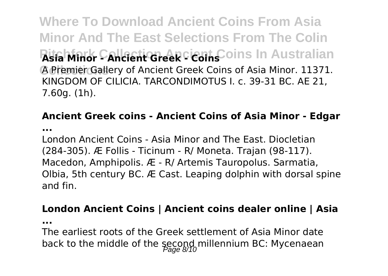**Where To Download Ancient Coins From Asia Minor And The East Selections From The Colin Rifa Minor Cancient Greek Cient C**oins In Australian **Collections** A Premier Gallery of Ancient Greek Coins of Asia Minor. 11371. KINGDOM OF CILICIA. TARCONDIMOTUS I. c. 39-31 BC. AE 21, 7.60g. (1h).

### **Ancient Greek coins - Ancient Coins of Asia Minor - Edgar**

**...**

London Ancient Coins - Asia Minor and The East. Diocletian (284-305). Æ Follis - Ticinum - R/ Moneta. Trajan (98-117). Macedon, Amphipolis. Æ - R/ Artemis Tauropolus. Sarmatia, Olbia, 5th century BC. Æ Cast. Leaping dolphin with dorsal spine and fin.

#### **London Ancient Coins | Ancient coins dealer online | Asia**

**...**

The earliest roots of the Greek settlement of Asia Minor date back to the middle of the second millennium BC: Mycenaean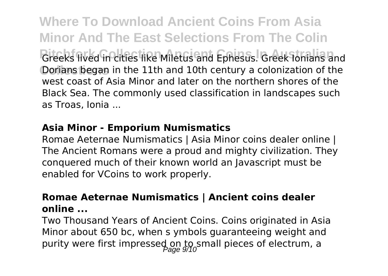**Where To Download Ancient Coins From Asia Minor And The East Selections From The Colin Greeks lived in cities like Miletus and Ephesus. Greek Ionians and** Dorians began in the 11th and 10th century a colonization of the west coast of Asia Minor and later on the northern shores of the Black Sea. The commonly used classification in landscapes such as Troas, Ionia ...

#### **Asia Minor - Emporium Numismatics**

Romae Aeternae Numismatics | Asia Minor coins dealer online | The Ancient Romans were a proud and mighty civilization. They conquered much of their known world an Javascript must be enabled for VCoins to work properly.

#### **Romae Aeternae Numismatics | Ancient coins dealer online ...**

Two Thousand Years of Ancient Coins. Coins originated in Asia Minor about 650 bc, when s ymbols guaranteeing weight and purity were first impressed on to small pieces of electrum, a